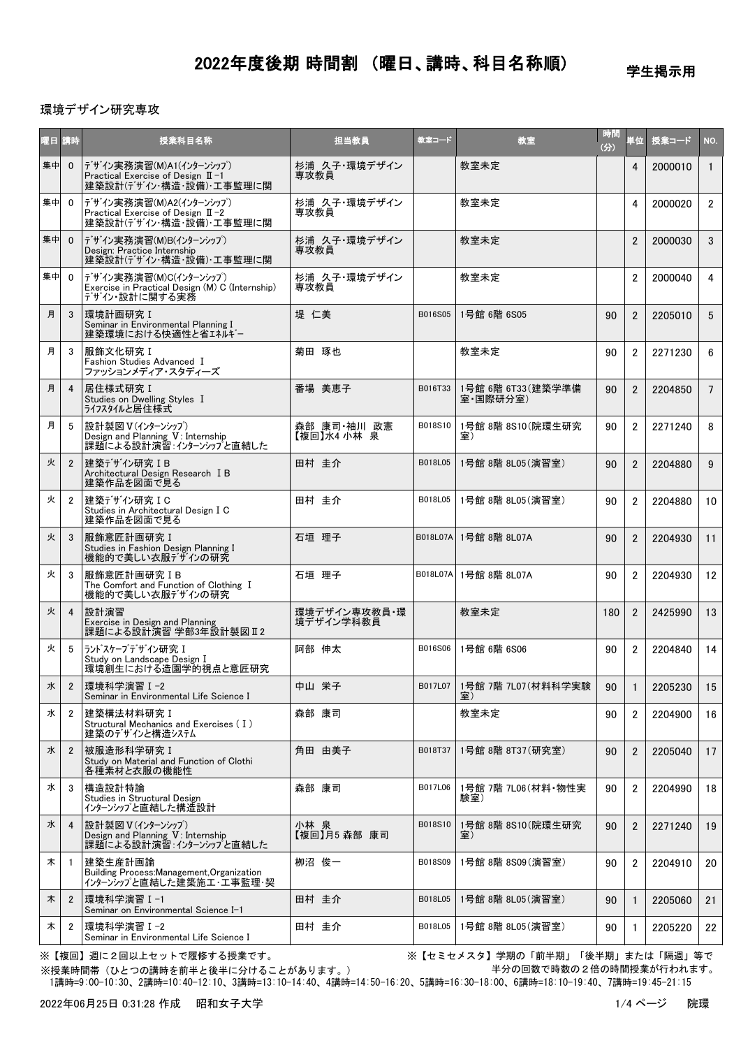学生掲示用

#### 環境デザイン研究専攻

| 曜日 講時 |                | 授業科目名称                                                                                      | 担当教員                       | 教室コード   | 教室                             | 時間<br>(分) | 単位             | 授業コード   | NO.             |
|-------|----------------|---------------------------------------------------------------------------------------------|----------------------------|---------|--------------------------------|-----------|----------------|---------|-----------------|
| 集中    | $\mathbf{0}$   | デザイン実務演習(M)A1(インターンシップ)<br>Practical Exercise of Design $II -1$<br>建築設計(デザイン・構造・設備)・工事監理に関  | 杉浦 久子・環境デザイン<br>専攻教員       |         | 教室未定                           |           | 4              | 2000010 | $\mathbf{1}$    |
| 集中    | $\Omega$       | デザイン実務演習(M)A2(インターンシップ)<br>Practical Exercise of Design $II - 2$<br>建築設計(デザイン・構造・設備)・工事監理に関 | 杉浦 久子・環境デザイン<br>車攻教員       |         | 教室未定                           |           | 4              | 2000020 | $\overline{2}$  |
| 集中    | $\Omega$       | デザイン実務演習(M)B(インターンシップ)<br>Design: Practice Internship<br>建築設計(デザイン・構造・設備)・工事監理に関            | 杉浦 久子・環境デザイン<br>車攻教員       |         | 教室未定                           |           | $\overline{2}$ | 2000030 | 3               |
| 集中    | $\mathbf{0}$   | デザイン実務演習(M)C(インターンシップ)<br>Exercise in Practical Design (M) C (Internship)<br>デザイン・設計に関する実務  | 杉浦 久子·環境デザイン<br>専攻教員       |         | 教室未定                           |           | 2              | 2000040 | $\overline{4}$  |
| 月     | 3              | 環境計画研究 I<br>Seminar in Environmental Planning I<br>建築環境における快適性と省エネルギー                       | 堤 仁美                       | B016S05 | 1号館 6階 6S05                    | 90        | $\overline{2}$ | 2205010 | $5^{\circ}$     |
| 月     | 3              | 服飾文化研究 I<br>Fashion Studies Advanced I<br>ファッションメディア・スタディーズ                                 | 菊田 琢也                      |         | 教室未定                           | 90        | $\overline{2}$ | 2271230 | 6               |
| 月     | 4              | 居住様式研究 I<br>Studies on Dwelling Styles I<br>ライフスタイルと居住様式                                    | 番場 美恵子                     | B016T33 | 1号館 6階 6T33 (建築学準備<br>室·国際研分室) | 90        | $\overline{2}$ | 2204850 | $7\overline{ }$ |
| 月     | 5              | 設計製図 V(インターンシップ)<br>Design and Planning V: Internship<br>課題による設計演習 インターンシップと直結した            | 森部 康司·袖川 政憲<br>【複回】水4 小林 泉 | B018S10 | 1号館 8階 8S10 (院環生研究<br>室)       | 90        | $\overline{2}$ | 2271240 | 8               |
| 火     | $\overline{2}$ | 建築デザイン研究 IB<br>Architectural Design Research I B<br>  建築作品を図面で見る                            | 田村 圭介                      | B018L05 | 1号館 8階 8L05(演習室)               | 90        | $\overline{2}$ | 2204880 | 9               |
| 火     | $\overline{2}$ | 建築デザイン研究IC<br>Studies in Architectural Design I C<br>建築作品を図面で見る                             | 田村 圭介                      | B018L05 | 1号館 8階 8L05(演習室)               | 90        | $\overline{2}$ | 2204880 | 10              |
| 火     | 3              | 服飾意匠計画研究 I<br>Studies in Fashion Design Planning I<br>機能的で美しい衣服デザインの研究                      | 石垣 理子                      |         | B018L07A 1号館 8階 8L07A          | 90        | $\overline{2}$ | 2204930 | 11              |
| 火     | 3              | 服飾意匠計画研究IB<br>The Comfort and Function of Clothing I<br>機能的で美しい衣服デザインの研究                    | 石垣 理子                      |         | B018L07A 1号館 8階 8L07A          | 90        | $\overline{2}$ | 2204930 | 12              |
| 火     | $\overline{4}$ | 設計演習<br>Exercise in Design and Planning<br>課題による設計演習 学部3年設計製図 II2                           | 環境デザイン専攻教員・環<br>境デザイン学科教員  |         | 教室未定                           | 180       | $\overline{2}$ | 2425990 | 13              |
| 火     | 5              | ランド スケープ デザイン研究 I<br>Study on Landscape Design I<br>環境創生における造園学的視点と意匠研究                     | 阿部 伸太                      | B016S06 | 1号館 6階 6S06                    | 90        | $\overline{2}$ | 2204840 | 14              |
| 水     | $\overline{2}$ | 環境科学演習 I-2<br>Seminar in Environmental Life Science I                                       | 中山 栄子                      | B017L07 | 1号館 7階 7L07 (材料科学実験<br>室)      | 90        |                | 2205230 | 15              |
| 水     | 2              | 建築構法材料研究 I<br>Structural Mechanics and Exercises (I)<br>建築のデザインと構造システム                      | 森部 康司                      |         | 教室未定                           | 90        | $\overline{2}$ | 2204900 | 16              |
| 水     | $\overline{2}$ | 被服造形科学研究 I<br>Study on Material and Function of Clothi<br>各種素材と衣服の機能性                       | 角田 由美子                     | B018T37 | 1号館 8階 8T37(研究室)               | 90        | $\overline{2}$ | 2205040 | 17              |
| 水     | 3              | 構造設計特論<br>Studies in Structural Design<br>インターンシップと直結した構造設計                                 | 森部 康司                      | B017L06 | 1号館 7階 7L06(材料・物性実<br>験室)      | 90        | $\overline{2}$ | 2204990 | 18              |
| 水     | $\overline{4}$ | 設計製図 V(インターンシップ)<br>Design and Planning V: Internship<br>課題による設計演習 インターンシップと直結した            | 小林 泉<br>【複回】月5 森部 康司       | B018S10 | 1号館 8階 8S10(院環生研究<br>室)        | 90        | $\overline{2}$ | 2271240 | 19              |
| 木     | $\overline{1}$ | 建築生産計画論<br>Building Process: Management, Organization<br>インターンシップと直結した建築施工・工事監理・契           | 栁沼 俊一                      | B018S09 | 1号館 8階 8S09(演習室)               | 90        | $\overline{2}$ | 2204910 | 20              |
| 木     | $\overline{2}$ | │環境科学演習Ⅰ-1<br>Seminar on Environmental Science I-1                                          | 田村 圭介                      | B018L05 | 1号館 8階 8L05(演習室)               | 90        | $\mathbf{1}$   | 2205060 | 21              |
| 木     | 2              | 環境科学演習Ⅰ−2<br>Seminar in Environmental Life Science I                                        | 田村 圭介                      | B018L05 | 1号館 8階 8L05(演習室)               | 90        | 1              | 2205220 | 22              |

※【複回】週に2回以上セットで履修する授業です。 ※【セミセメスタ】学期の「前半期」「後半期」または「隔週」等で 半分の回数で時数の2倍の時間授業が行われます。

 1講時=9:00-10:30、2講時=10:40-12:10、3講時=13:10-14:40、4講時=14:50-16:20、5講時=16:30-18:00、6講時=18:10-19:40、7講時=19:45-21:15 ※授業時間帯(ひとつの講時を前半と後半に分けることがあります。)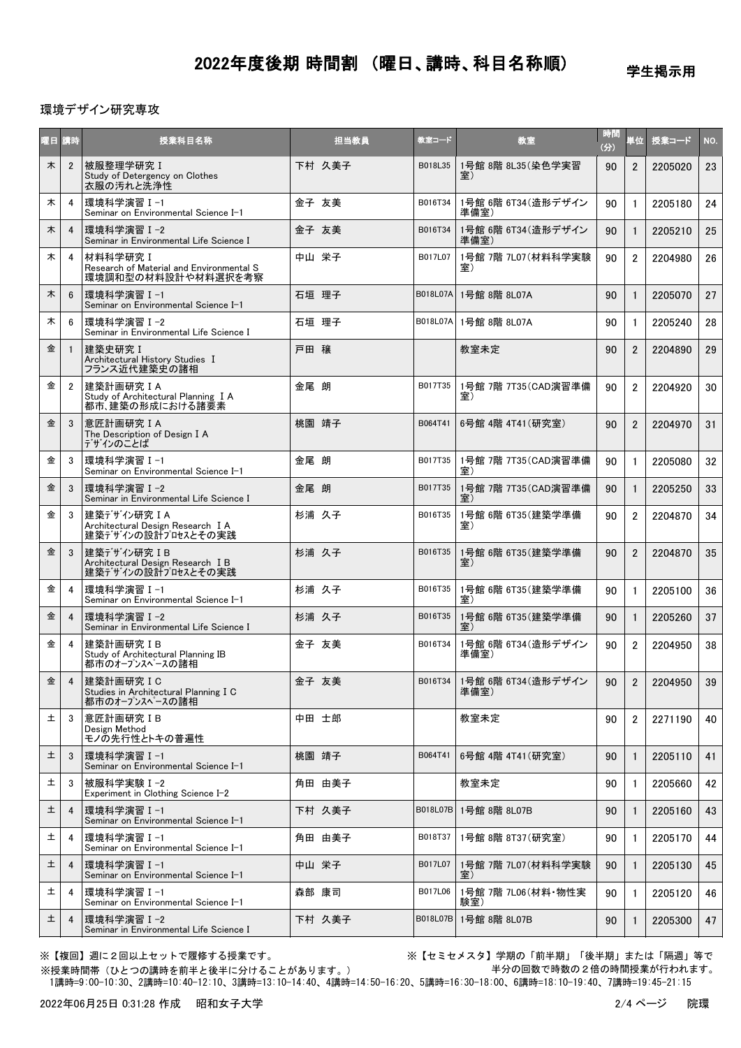学生掲示用

#### 環境デザイン研究専攻

| 曜日 講時 |                | 授業科目名称                                                                     |      | 担当教員   | 教室コード           | 教室                                    | 時間<br>(分) | 単位             | 授業コード   | NO. |
|-------|----------------|----------------------------------------------------------------------------|------|--------|-----------------|---------------------------------------|-----------|----------------|---------|-----|
| 木     | $\overline{2}$ | 被服整理学研究 I<br>Study of Detergency on Clothes<br>衣服の汚れと洗浄性                   |      | 下村 久美子 | B018L35         | 1号館 8階 8L35 (染色学実習<br>室)              | 90        | $\overline{2}$ | 2205020 | 23  |
| 木     | 4              | 環境科学演習 I-1<br>Seminar on Environmental Science I-1                         |      | 金子 友美  | B016T34         | 1号館 6階 6T34(造形デザイン<br>準備室)            | 90        | $\mathbf{1}$   | 2205180 | 24  |
| 木     | 4              | 環境科学演習 I-2<br>Seminar in Environmental Life Science I                      |      | 金子 友美  | B016T34         | 1号館 6階 6T34(造形デザイン<br>準備室)            | 90        | $\mathbf{1}$   | 2205210 | 25  |
| 木     | 4              | 材料科学研究 I<br>Research of Material and Environmental S<br>環境調和型の材料設計や材料選択を考察 |      | 中山 栄子  | B017L07         | 1号館 7階 7L07 (材料科学実験<br>室)             | 90        | $\overline{2}$ | 2204980 | 26  |
| 木     | 6              | 環境科学演習 Ⅰ-1<br>Seminar on Environmental Science I-1                         |      | 石垣 理子  | <b>B018L07A</b> | 1号館 8階 8L07A                          | 90        | $\mathbf{1}$   | 2205070 | 27  |
| 木     | 6              | 環境科学演習Ⅰ-2<br>Seminar in Environmental Life Science I                       |      | 石垣 理子  |                 | B018L07A 1号館 8階 8L07A                 | 90        | $\mathbf{1}$   | 2205240 | 28  |
| 金     | $\mathbf{1}$   | 建築史研究 I<br>Architectural History Studies I<br>フランス近代建築史の諸相                 | 戸田 穣 |        |                 | 教室未定                                  | 90        | $\overline{2}$ | 2204890 | 29  |
| 金     | $\overline{2}$ | 建築計画研究 IA<br>Study of Architectural Planning I A<br>都市、建築の形成における諸要素        | 金尾 朗 |        | B017T35         | 1号館 7階 7T35(CAD演習準備<br>室)             | 90        | $\overline{2}$ | 2204920 | 30  |
| 金     | 3              | 意匠計画研究 I A<br>The Description of Design I A<br>デザインのことば                    |      | 桃園 靖子  | B064T41         | 6号館 4階 4T41 (研究室)                     | 90        | $\overline{2}$ | 2204970 | 31  |
| 金     | 3              | 環境科学演習 I-1<br>Seminar on Environmental Science I-1                         | 金尾 朗 |        | B017T35         | 1号館 7階 7T35(CAD演習準備<br>室)             | 90        | $\mathbf{1}$   | 2205080 | 32  |
| 金     | 3              | 環境科学演習 I-2<br>Seminar in Environmental Life Science I                      | 金尾 朗 |        | B017T35         | 1号館 7階 7T35(CAD演習準備                   | 90        | $\mathbf{1}$   | 2205250 | 33  |
| 金     | 3              | 建築デザイン研究IA<br>Architectural Design Research I A<br>建築デザインの設計プロセスとその実践      |      | 杉浦 久子  | B016T35         | 1号館 6階 6T35 (建築学準備<br>室)              | 90        | $\overline{2}$ | 2204870 | 34  |
| 金     | 3              | 建築デザイン研究 IB<br>Architectural Design Research I B<br>建築デザインの設計プロセスとその実践     |      | 杉浦 久子  | B016T35         | 1号館 6階 6T35(建築学準備<br>室)               | 90        | $\overline{2}$ | 2204870 | 35  |
| 金     | 4              | 環境科学演習Ⅰ−1<br>Seminar on Environmental Science I-1                          |      | 杉浦 久子  | B016T35         | 1号館 6階 6T35 (建築学準備<br>室)              | 90        | $\mathbf{1}$   | 2205100 | 36  |
| 金     | 4              | 環境科学演習 I-2<br>Seminar in Environmental Life Science I                      |      | 杉浦 久子  | B016T35         | 1号館 6階 6T35 (建築学準備<br>室)              | 90        | $\mathbf{1}$   | 2205260 | 37  |
| 金     | 4              | 建築計画研究IB<br>Study of Architectural Planning IB<br>都市のオープンスペースの諸相           |      | 金子 友美  | B016T34         | 1号館 6階 6T34 (造形デザイン<br>準備室)           | 90        | $\overline{2}$ | 2204950 | 38  |
| 金     | $\overline{4}$ | 建築計画研究 I C<br>Studies in Architectural Planning I C<br>都市のオープンスペースの諸相      |      | 金子 友美  |                 | B016T34   1号館 6階 6T34 (造形デザイン<br>準備室) | 90        | $\overline{2}$ | 2204950 | 39  |
| 土     | 3              | 意匠計画研究IB<br>Design Method<br>モノの先行性とトキの普遍性                                 |      | 中田 士郎  |                 | 教室未定                                  | 90        | $\overline{2}$ | 2271190 | 40  |
| 土     | 3              | 環境科学演習Ⅰ−1<br>Seminar on Environmental Science I-1                          |      | 桃園 靖子  | B064T41         | 6号館 4階 4T41 (研究室)                     | 90        | $\mathbf{1}$   | 2205110 | 41  |
| 土     | 3              | 被服科学実験 I-2<br>Experiment in Clothing Science I-2                           |      | 角田 由美子 |                 | 教室未定                                  | 90        | $\mathbf{1}$   | 2205660 | 42  |
| 土     | 4              | 環境科学演習Ⅰ-1<br>Seminar on Environmental Science I-1                          |      | 下村 久美子 | B018L07B        | 1号館 8階 8L07B                          | 90        | $\mathbf{1}$   | 2205160 | 43  |
| 土     | 4              | 環境科学演習Ⅰ−1<br>Seminar on Environmental Science I-1                          |      | 角田 由美子 | B018T37         | 1号館 8階 8T37(研究室)                      | 90        | $\mathbf{1}$   | 2205170 | 44  |
| 土     | 4              | 環境科学演習Ⅰ−1<br>Seminar on Environmental Science I-1                          |      | 中山 栄子  | B017L07         | 1号館 7階 7L07(材料科学実験<br>室)              | 90        | $\mathbf{1}$   | 2205130 | 45  |
| 土     | 4              | 環境科学演習 I-1<br>Seminar on Environmental Science I-1                         |      | 森部 康司  | B017L06         | 1号館 7階 7L06 (材料·物性実<br>験室)            | 90        | 1              | 2205120 | 46  |
| 土     | $\overline{4}$ | 環境科学演習Ⅰ-2<br>Seminar in Environmental Life Science I                       |      | 下村 久美子 | B018L07B        | 1号館 8階 8L07B                          | 90        | $\mathbf{1}$   | 2205300 | 47  |

※授業時間帯(ひとつの講時を前半と後半に分けることがあります。)

※【複回】週に2回以上セットで履修する授業です。 ※【セミセメスタ】学期の「前半期」「後半期」または「隔週」等で 半分の回数で時数の2倍の時間授業が行われます。

1講時=9:00-10:30、2講時=10:40-12:10、3講時=13:10-14:40、4講時=14:50-16:20、5講時=16:30-18:00、6講時=18:10-19:40、7講時=19:45-21:15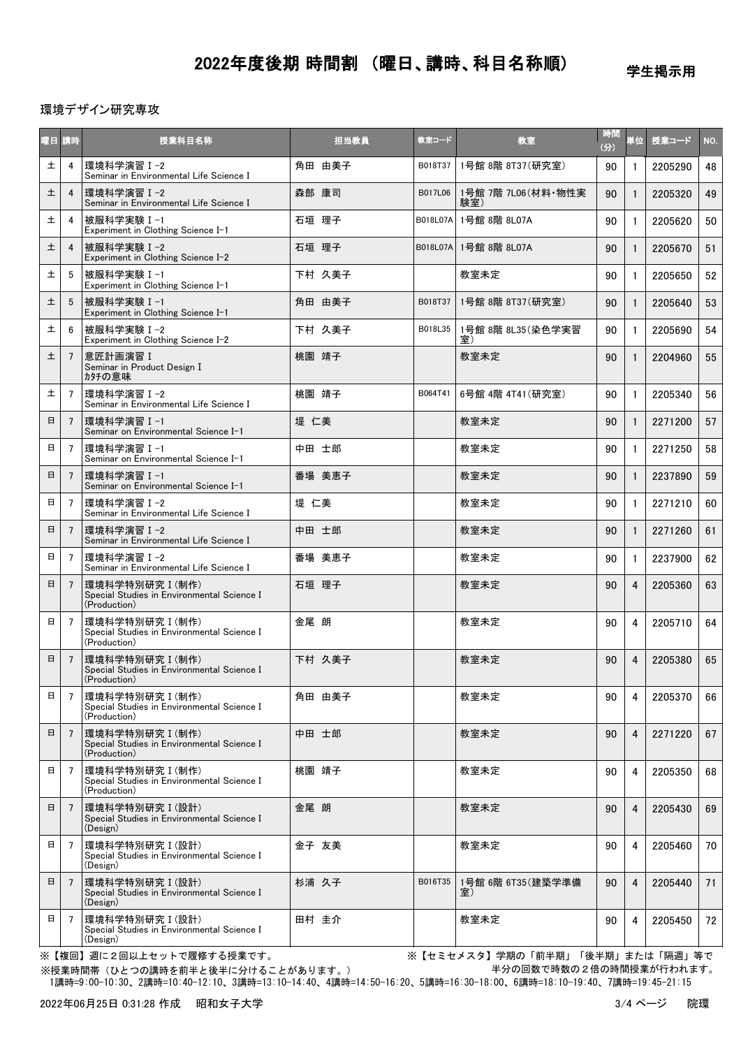学生掲示用

環境デザイン研究専攻

| 曜日 講時  |                | 授業科目名称                                                                        |      | 担当教員   | 教室コード    | 教室                         | 時間<br>(分) | 単位           | 授業コード   | NO. |
|--------|----------------|-------------------------------------------------------------------------------|------|--------|----------|----------------------------|-----------|--------------|---------|-----|
| 土      | 4              | 環境科学演習 I-2<br>Seminar in Environmental Life Science I                         |      | 角田 由美子 | B018T37  | 1号館 8階 8T37(研究室)           | 90        | $\mathbf{1}$ | 2205290 | 48  |
| 土      | 4              | 環境科学演習Ⅰ-2<br>Seminar in Environmental Life Science I                          |      | 森部 康司  | B017L06  | 1号館 7階 7L06 (材料·物性実<br>験室) | 90        | $\mathbf{1}$ | 2205320 | 49  |
| 土      | 4              | 被服科学実験 I-1<br>Experiment in Clothing Science I-1                              |      | 石垣 理子  | B018L07A | 1号館 8階 8L07A               | 90        | 1            | 2205620 | 50  |
| $\pm$  | $\overline{4}$ | 被服科学実験Ⅰ−2<br>Experiment in Clothing Science I-2                               |      | 石垣 理子  | B018L07A | 1号館 8階 8L07A               | 90        | 1            | 2205670 | 51  |
| 土      | 5              | 被服科学実験 I-1<br>Experiment in Clothing Science I-1                              |      | 下村 久美子 |          | 教室未定                       | 90        | 1            | 2205650 | 52  |
| 土      | 5              | 被服科学実験 I-1<br>Experiment in Clothing Science I-1                              |      | 角田 由美子 | B018T37  | 1号館 8階 8T37 (研究室)          | 90        |              | 2205640 | 53  |
| 土      | 6              | 被服科学実験 I-2<br>Experiment in Clothing Science I-2                              |      | 下村 久美子 | B018L35  | 1号館 8階 8L35(染色学実習<br>室)    | 90        | 1            | 2205690 | 54  |
| 土      | $\overline{7}$ | 意匠計画演習 I<br>Seminar in Product Design I<br>カタチの意味                             |      | 桃園 靖子  |          | 教室未定                       | 90        | $\mathbf{1}$ | 2204960 | 55  |
| 土      | 7              | 環境科学演習 I-2<br>Seminar in Environmental Life Science I                         |      | 桃園 靖子  | B064T41  | 6号館 4階 4T41 (研究室)          | 90        | $\mathbf{1}$ | 2205340 | 56  |
| 日      | 7              | 環境科学演習 I-1<br>Seminar on Environmental Science I-1                            | 堤 仁美 |        |          | 教室未定                       | 90        |              | 2271200 | 57  |
| 日      | 7              | 環境科学演習Ⅰ−1<br>Seminar on Environmental Science I-1                             |      | 中田 士郎  |          | 教室未定                       | 90        | 1            | 2271250 | 58  |
| 日      | $\overline{7}$ | 環境科学演習Ⅰ-1<br>Seminar on Environmental Science I-1                             |      | 番場 美恵子 |          | 教室未定                       | 90        | $\mathbf{1}$ | 2237890 | 59  |
| 日      | $\overline{7}$ | 環境科学演習 I-2<br>Seminar in Environmental Life Science I                         | 堤 仁美 |        |          | 教室未定                       | 90        | $\mathbf{1}$ | 2271210 | 60  |
| 日      | 7              | 環境科学演習Ⅰ-2<br>Seminar in Environmental Life Science I                          |      | 中田 士郎  |          | 教室未定                       | 90        | $\mathbf{1}$ | 2271260 | 61  |
| 日      | $\overline{7}$ | 環境科学演習 I-2<br>Seminar in Environmental Life Science I                         |      | 番場 美恵子 |          | 教室未定                       | 90        | $\mathbf{1}$ | 2237900 | 62  |
| 日      | $\overline{7}$ | 環境科学特別研究 I (制作)<br>Special Studies in Environmental Science I<br>(Production) |      | 石垣 理子  |          | 教室未定                       | 90        | 4            | 2205360 | 63  |
| Β      | 7              | 環境科学特別研究 I (制作)<br>Special Studies in Environmental Science I<br>(Production) | 金尾 朗 |        |          | 教室未定                       | 90        | 4            | 2205710 | 64  |
| $\Box$ | $\overline{7}$ | 環境科学特別研究 I (制作)<br>Special Studies in Environmental Science I<br>(Production) |      | 下村 久美子 |          | 教室未定                       | 90        | 4            | 2205380 | 65  |
| 日      | 7              | 環境科学特別研究 I (制作)<br>Special Studies in Environmental Science I<br>(Production) |      | 角田 由美子 |          | 教室未定                       | 90        | 4            | 2205370 | 66  |
| 日      | $\overline{7}$ | 環境科学特別研究 I (制作)<br>Special Studies in Environmental Science I<br>(Production) |      | 中田 士郎  |          | 教室未定                       | 90        | 4            | 2271220 | 67  |
| 日      | $\overline{7}$ | 環境科学特別研究 I (制作)<br>Special Studies in Environmental Science I<br>(Production) |      | 桃園 靖子  |          | 教室未定                       | 90        | 4            | 2205350 | 68  |
| 日      | 7              | 環境科学特別研究 I (設計)<br>Special Studies in Environmental Science I<br>(Design)     | 金尾 朗 |        |          | 教室未定                       | 90        | 4            | 2205430 | 69  |
| 日      | 7              | 環境科学特別研究 I (設計)<br>Special Studies in Environmental Science I<br>(Design)     |      | 金子 友美  |          | 教室未定                       | 90        | 4            | 2205460 | 70  |
| 日      | $\overline{7}$ | 環境科学特別研究 I (設計)<br>Special Studies in Environmental Science I<br>(Design)     |      | 杉浦 久子  | B016T35  | 1号館 6階 6T35(建築学準備<br>室)    | 90        | 4            | 2205440 | 71  |
| 日      | $\overline{7}$ | 環境科学特別研究 I (設計)<br>Special Studies in Environmental Science I<br>(Design)     |      | 田村 圭介  |          | 教室未定                       | 90        | 4            | 2205450 | 72  |

※【複回】週に2回以上セットで履修する授業です。 ※【セミセメスタ】学期の「前半期」「後半期」または「隔週」等で 半分の回数で時数の2倍の時間授業が行われます。

 1講時=9:00-10:30、2講時=10:40-12:10、3講時=13:10-14:40、4講時=14:50-16:20、5講時=16:30-18:00、6講時=18:10-19:40、7講時=19:45-21:15 ※授業時間帯(ひとつの講時を前半と後半に分けることがあります。)